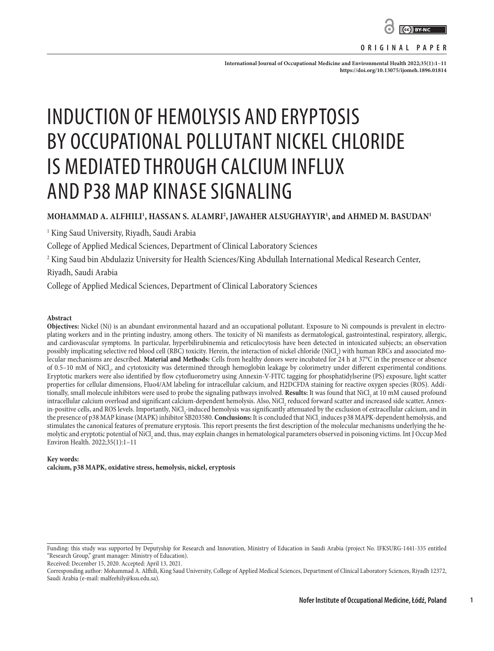

#### **ORIGINAL PAPER**

**International Journal of Occupational Medicine and Environmental Health 2022;35(1):1–11 <https://doi.org/10.13075/ijomeh.1896.01814>**

# INDUCTION OF HEMOLYSIS AND ERYPTOSIS BY OCCUPATIONAL POLLUTANT NICKEL CHLORIDE IS MEDIATED THROUGH CALCIUM INFLUX AND P38 MAP KINASE SIGNALING

## **MOHAMMAD A. ALFHILI1 , HASSAN S. ALAMRI2 , JAWAHER ALSUGHAYYIR1 , and AHMED M. BASUDAN1**

1 King Saud University, Riyadh, Saudi Arabia

College of Applied Medical Sciences, Department of Clinical Laboratory Sciences

 $^{\rm 2}$  King Saud bin Abdulaziz University for Health Sciences/King Abdullah International Medical Research Center,

Riyadh, Saudi Arabia

College of Applied Medical Sciences, Department of Clinical Laboratory Sciences

#### **Abstract**

**Objectives:** Nickel (Ni) is an abundant environmental hazard and an occupational pollutant. Exposure to Ni compounds is prevalent in electroplating workers and in the printing industry, among others. The toxicity of Ni manifests as dermatological, gastrointestinal, respiratory, allergic, and cardiovascular symptoms. In particular, hyperbilirubinemia and reticulocytosis have been detected in intoxicated subjects; an observation possibly implicating selective red blood cell (RBC) toxicity. Herein, the interaction of nickel chloride (NiCl<sub>2</sub>) with human RBCs and associated molecular mechanisms are described. **Material and Methods:** Cells from healthy donors were incubated for 24 h at 37°C in the presence or absence of 0.5–10 mM of NiCl<sub>2</sub>, and cytotoxicity was determined through hemoglobin leakage by colorimetry under different experimental conditions. Eryptotic markers were also identified by flow cytofluorometry using Annexin-V-FITC tagging for phosphatidylserine (PS) exposure, light scatter properties for cellular dimensions, Fluo4/AM labeling for intracellular calcium, and H2DCFDA staining for reactive oxygen species (ROS). Additionally, small molecule inhibitors were used to probe the signaling pathways involved. Results: It was found that NiCl<sub>2</sub> at 10 mM caused profound intracellular calcium overload and significant calcium-dependent hemolysis. Also, NiCl<sub>2</sub> reduced forward scatter and increased side scatter, Annexin-positive cells, and ROS levels. Importantly, NiCl<sub>2</sub>-induced hemolysis was significantly attenuated by the exclusion of extracellular calcium, and in the presence of p38 MAP kinase (MAPK) inhibitor SB203580. **Conclusions:** It is concluded that NiCl<sub>2</sub> induces p38 MAPK-dependent hemolysis, and stimulates the canonical features of premature eryptosis. This report presents the first description of the molecular mechanisms underlying the hemolytic and eryptotic potential of NiCl, and, thus, may explain changes in hematological parameters observed in poisoning victims. Int J Occup Med<br>— Environ Health. 2022;35(1):1–11

#### **Key words: calcium, p38 MAPK, oxidative stress, hemolysis, nickel, eryptosis**

Received: December 15, 2020. Accepted: April 13, 2021.

**1**

Funding: this study was supported by Deputyship for Research and Innovation, Ministry of Education in Saudi Arabia (project No. IFKSURG-1441-335 entitled "Research Group," grant manager: Ministry of Education).

Corresponding author: Mohammad A. Alfhili, King Saud University, College of Applied Medical Sciences, Department of Clinical Laboratory Sciences, Riyadh 12372, Saudi Arabia (e-mail: malfeehily@ksu.edu.sa).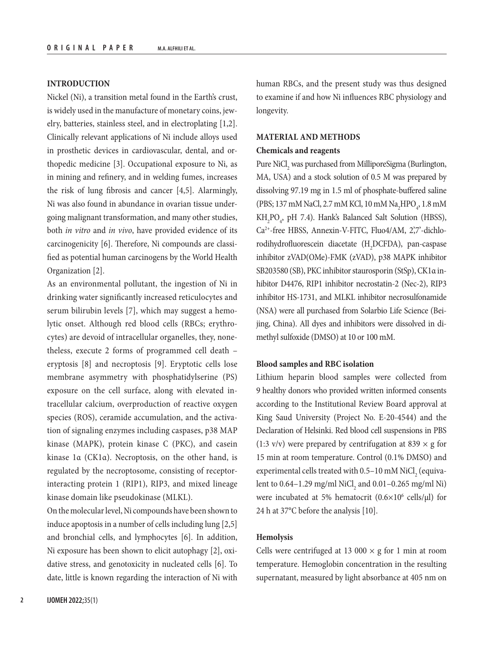## **INTRODUCTION**

Nickel (Ni), a transition metal found in the Earth's crust, is widely used in the manufacture of monetary coins, jewelry, batteries, stainless steel, and in electroplating [1,2]. Clinically relevant applications of Ni include alloys used in prosthetic devices in cardiovascular, dental, and orthopedic medicine [3]. Occupational exposure to Ni, as in mining and refinery, and in welding fumes, increases the risk of lung fibrosis and cancer [4,5]. Alarmingly, Ni was also found in abundance in ovarian tissue undergoing malignant transformation, and many other studies, both *in vitro* and *in vivo*, have provided evidence of its carcinogenicity [6]. Therefore, Ni compounds are classified as potential human carcinogens by the World Health Organization [2].

As an environmental pollutant, the ingestion of Ni in drinking water significantly increased reticulocytes and serum bilirubin levels [7], which may suggest a hemolytic onset. Although red blood cells (RBCs; erythrocytes) are devoid of intracellular organelles, they, nonetheless, execute 2 forms of programmed cell death – eryptosis [8] and necroptosis [9]. Eryptotic cells lose membrane asymmetry with phosphatidylserine (PS) exposure on the cell surface, along with elevated intracellular calcium, overproduction of reactive oxygen species (ROS), ceramide accumulation, and the activation of signaling enzymes including caspases, p38 MAP kinase (MAPK), protein kinase C (PKC), and casein kinase 1α (CK1α). Necroptosis, on the other hand, is regulated by the necroptosome, consisting of receptorinteracting protein 1 (RIP1), RIP3, and mixed lineage kinase domain like pseudokinase (MLKL).

On the molecular level, Ni compounds have been shown to induce apoptosis in a number of cells including lung [2,5] and bronchial cells, and lymphocytes [6]. In addition, Ni exposure has been shown to elicit autophagy [2], oxidative stress, and genotoxicity in nucleated cells [6]. To date, little is known regarding the interaction of Ni with

human RBCs, and the present study was thus designed to examine if and how Ni influences RBC physiology and longevity.

#### **MATERIAL AND METHODS**

#### **Chemicals and reagents**

Pure  $\mathrm{NiCl}_{2}$  was purchased from MilliporeSigma (Burlington, MA, USA) and a stock solution of 0.5 M was prepared by dissolving 97.19 mg in 1.5 ml of phosphate-buffered saline (PBS; 137 mM NaCl, 2.7 mM KCl, 10 mM Na<sub>2</sub>HPO<sub>4</sub>, 1.8 mM  $KH_{2}PO_{4}$ , pH 7.4). Hank's Balanced Salt Solution (HBSS), Ca2+-free HBSS, Annexin-V-FITC, Fluo4/AM, 2',7'-dichlorodihydrofluorescein diacetate (H<sub>2</sub>DCFDA), pan-caspase inhibitor zVAD(OMe)-FMK (zVAD), p38 MAPK inhibitor SB203580 (SB), PKC inhibitor staurosporin (StSp), CK1α inhibitor D4476, RIP1 inhibitor necrostatin-2 (Nec-2), RIP3 inhibitor HS-1731, and MLKL inhibitor necrosulfonamide (NSA) were all purchased from Solarbio Life Science (Beijing, China). All dyes and inhibitors were dissolved in dimethyl sulfoxide (DMSO) at 10 or 100 mM.

#### **Blood samples and RBC isolation**

Lithium heparin blood samples were collected from 9 healthy donors who provided written informed consents according to the Institutional Review Board approval at King Saud University (Project No. E-20-4544) and the Declaration of Helsinki. Red blood cell suspensions in PBS (1:3 v/v) were prepared by centrifugation at 839  $\times$  g for 15 min at room temperature. Control (0.1% DMSO) and experimental cells treated with  $0.5-10$  mM NiCl<sub>2</sub> (equivalent to  $0.64-1.29$  mg/ml  $\mathrm{NiCl}_{2}$  and  $0.01-0.265$  mg/ml  $\mathrm{Ni}$ ) were incubated at 5% hematocrit  $(0.6 \times 10^6 \text{ cells/}\mu\text{I})$  for 24 h at 37°C before the analysis [10].

#### **Hemolysis**

Cells were centrifuged at 13 000  $\times$  g for 1 min at room temperature. Hemoglobin concentration in the resulting supernatant, measured by light absorbance at 405 nm on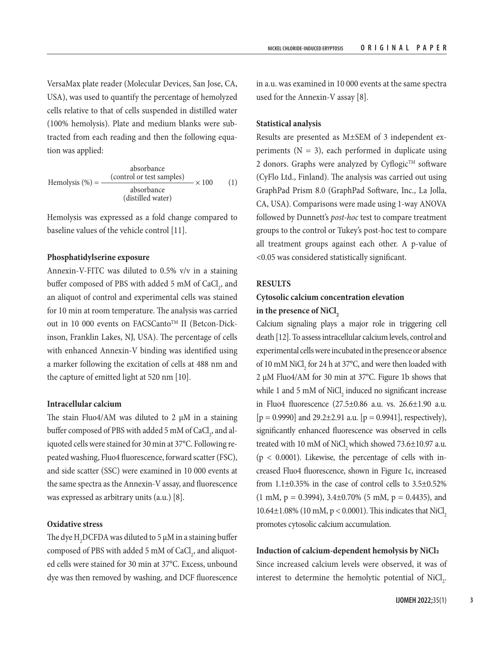VersaMax plate reader (Molecular Devices, San Jose, CA, USA), was used to quantify the percentage of hemolyzed cells relative to that of cells suspended in distilled water (100% hemolysis). Plate and medium blanks were subtracted from each reading and then the following equation was applied:

$$
Hemolysis (%) = \frac{(control or test samples)}{absorbance} \times 100
$$
 (1)  
(distilled water)

Hemolysis was expressed as a fold change compared to baseline values of the vehicle control [11].

#### **Phosphatidylserine exposure**

Annexin-V-FITC was diluted to 0.5% v/v in a staining buffer composed of PBS with added 5 mM of  $CaCl<sub>2</sub>$ , and an aliquot of control and experimental cells was stained for 10 min at room temperature. The analysis was carried out in 10 000 events on FACSCanto™ II (Betcon-Dickinson, Franklin Lakes, NJ, USA). The percentage of cells with enhanced Annexin-V binding was identified using a marker following the excitation of cells at 488 nm and the capture of emitted light at 520 nm [10].

## **Intracellular calcium**

The stain Fluo4/AM was diluted to 2  $\mu$ M in a staining buffer composed of PBS with added 5 mM of  $\mathrm{CaCl}_{2}$ , and aliquoted cells were stained for 30 min at 37°C. Following repeated washing, Fluo4 fluorescence, forward scatter (FSC), and side scatter (SSC) were examined in 10 000 events at the same spectra as the Annexin-V assay, and fluorescence was expressed as arbitrary units (a.u.) [8].

## **Oxidative stress**

The dye  $\rm H_2$ DCFDA was diluted to 5  $\rm \mu M$  in a staining buffer composed of PBS with added 5 mM of  $\mathrm{CaCl}_{2}$ , and aliquoted cells were stained for 30 min at 37°C. Excess, unbound dye was then removed by washing, and DCF fluorescence in a.u. was examined in 10 000 events at the same spectra used for the Annexin-V assay [8].

## **Statistical analysis**

Results are presented as M±SEM of 3 independent experiments ( $N = 3$ ), each performed in duplicate using 2 donors. Graphs were analyzed by Cyflogic™ software (CyFlo Ltd., Finland). The analysis was carried out using GraphPad Prism 8.0 (GraphPad Software, Inc., La Jolla, CA, USA). Comparisons were made using 1-way ANOVA followed by Dunnett's *post-hoc* test to compare treatment groups to the control or Tukey's post-hoc test to compare all treatment groups against each other. A p-value of <0.05 was considered statistically significant.

#### **RESULTS**

# **Cytosolic calcium concentration elevation**  in the presence of NiCl<sub>2</sub>

Calcium signaling plays a major role in triggering cell death [12]. To assess intracellular calcium levels, control and experimental cells were incubated in the presence or absence of 10 mM NiCl<sub>2</sub> for 24 h at 37 $\degree$ C, and were then loaded with 2 μM Fluo4/AM for 30 min at 37°C. Figure 1b shows that while 1 and 5 mM of  $\text{NiCl}_2$  induced no significant increase in Fluo4 fluorescence (27.5±0.86 a.u. vs. 26.6±1.90 a.u.  $[p = 0.9990]$  and 29.2 $\pm$ 2.91 a.u.  $[p = 0.9941]$ , respectively), significantly enhanced fluorescence was observed in cells treated with 10 mM of NiCl, which showed  $73.6\pm10.97$  a.u.  $(p < 0.0001)$ . Likewise, the percentage of cells with increased Fluo4 fluorescence, shown in Figure 1c, increased from  $1.1\pm0.35\%$  in the case of control cells to  $3.5\pm0.52\%$  $(1 \text{ mM}, p = 0.3994), 3.4 \pm 0.70\%$  (5 mM,  $p = 0.4435$ ), and 10.64 $\pm$ 1.08% (10 mM, p < 0.0001). This indicates that NiCl<sub>2</sub> promotes cytosolic calcium accumulation.

#### **Induction of calcium-dependent hemolysis by NiCl2**

Since increased calcium levels were observed, it was of interest to determine the hemolytic potential of  $\text{NiCl}_{2}$ .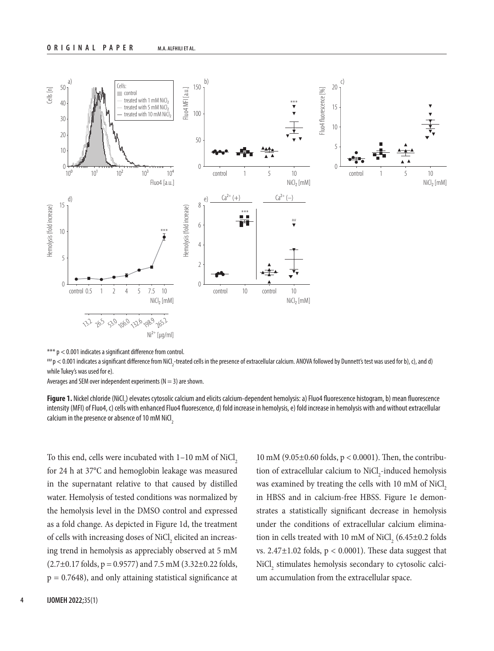

<sup>\*\*\*</sup> p < 0.001 indicates a significant difference from control.

 $^{**}$ p  $<$  0.001 indicates a significant difference from NiCl $_{_2}$ -treated cells in the presence of extracellular calcium. ANOVA followed by Dunnett's test was used for b), c), and d) while Tukey's was used for e).

Averages and SEM over independent experiments ( $N = 3$ ) are shown.

**Figure 1.** Nickel chloride (NiCl<sub>2</sub>) elevates cytosolic calcium and elicits calcium-dependent hemolysis: a) Fluo4 fluorescence histogram, b) mean fluorescence intensity (MFI) of Fluo4, c) cells with enhanced Fluo4 fluorescence, d) fold increase in hemolysis, e) fold increase in hemolysis with and without extracellular calcium in the presence or absence of 10 mM NiCl<sub>2</sub>

To this end, cells were incubated with  $1-10$  mM of NiCl<sub>2</sub> for 24 h at 37°C and hemoglobin leakage was measured in the supernatant relative to that caused by distilled water. Hemolysis of tested conditions was normalized by the hemolysis level in the DMSO control and expressed as a fold change. As depicted in Figure 1d, the treatment of cells with increasing doses of  $\mathrm{NiCl}_{_2}$  elicited an increasing trend in hemolysis as appreciably observed at 5 mM  $(2.7\pm0.17 \text{ folds}, p = 0.9577)$  and  $7.5 \text{ mM } (3.32\pm0.22 \text{ folds},$  $p = 0.7648$ , and only attaining statistical significance at

10 mM (9.05±0.60 folds, p < 0.0001). Then, the contribution of extracellular calcium to NiCl<sub>2</sub>-induced hemolysis was examined by treating the cells with 10 mM of NiCl<sub>2</sub> in HBSS and in calcium-free HBSS. Figure 1e demonstrates a statistically significant decrease in hemolysis under the conditions of extracellular calcium elimination in cells treated with 10 mM of  $\text{NiCl}_2$  (6.45 $\pm$ 0.2 folds vs.  $2.47\pm1.02$  folds,  $p < 0.0001$ ). These data suggest that  $\mathrm{NiCl}_{2}$  stimulates hemolysis secondary to cytosolic calcium accumulation from the extracellular space.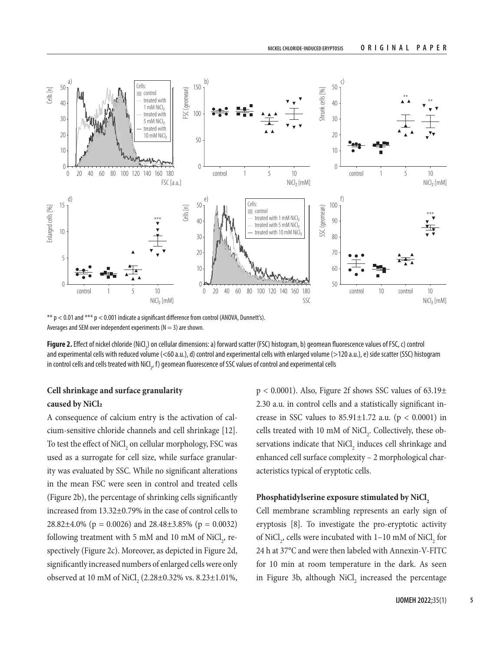

\*\*  $p < 0.01$  and \*\*\*  $p < 0.001$  indicate a significant difference from control (ANOVA, Dunnett's). Averages and SEM over independent experiments ( $N = 3$ ) are shown.

**Figure 2.** Effect of nickel chloride (NiCl<sub>2</sub>) on cellular dimensions: a) forward scatter (FSC) histogram, b) geomean fluorescence values of FSC, c) control and experimental cells with reduced volume (<60 a.u.), d) control and experimental cells with enlarged volume (>120 a.u.), e) side scatter (SSC) histogram in control cells and cells treated with NiCl<sub>,</sub>, f) geomean fluorescence of SSC values of control and experimental cells

# **Cell shrinkage and surface granularity caused by NiCl2**

A consequence of calcium entry is the activation of calcium-sensitive chloride channels and cell shrinkage [12]. To test the effect of  $\mathrm{NiCl}_{_2}$  on cellular morphology, FSC was used as a surrogate for cell size, while surface granularity was evaluated by SSC. While no significant alterations in the mean FSC were seen in control and treated cells (Figure 2b), the percentage of shrinking cells significantly increased from 13.32±0.79% in the case of control cells to 28.82 $\pm$ 4.0% (p = 0.0026) and 28.48 $\pm$ 3.85% (p = 0.0032) following treatment with 5 mM and 10 mM of  $\text{NiCl}_2$ , respectively (Figure 2c). Moreover, as depicted in Figure 2d, significantly increased numbers of enlarged cells were only observed at 10 mM of NiCl<sub>2</sub> (2.28±0.32% vs. 8.23±1.01%,  $p < 0.0001$ ). Also, Figure 2f shows SSC values of 63.19 $\pm$ 2.30 a.u. in control cells and a statistically significant increase in SSC values to  $85.91 \pm 1.72$  a.u. ( $p < 0.0001$ ) in cells treated with 10 mM of  $\text{NiCl}_2$ . Collectively, these observations indicate that  $\text{NiCl}_2$  induces cell shrinkage and enhanced cell surface complexity – 2 morphological characteristics typical of eryptotic cells.

## Phosphatidylserine exposure stimulated by NiCl<sub>2</sub>

Cell membrane scrambling represents an early sign of eryptosis [8]. To investigate the pro-eryptotic activity of NiCl<sub>2</sub>, cells were incubated with  $1-10$  mM of NiCl<sub>2</sub> for 24 h at 37°C and were then labeled with Annexin -V-FITC for 10 min at room temperature in the dark. As seen in Figure 3b, although  $NiCl<sub>2</sub>$  increased the percentage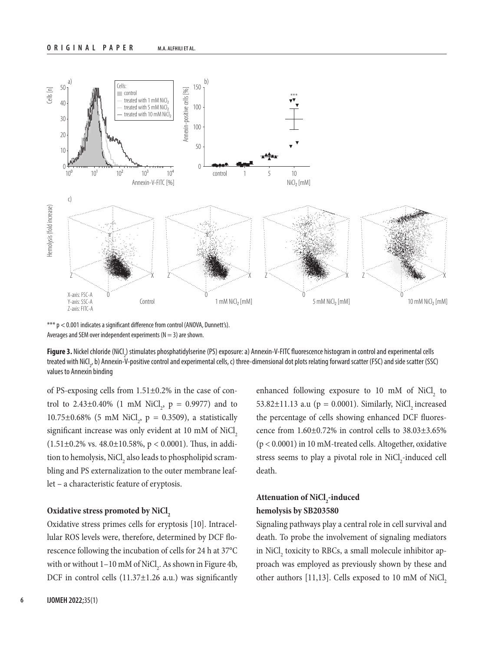

\*\*\* p < 0.001 indicates a significant difference from control (ANOVA, Dunnett's). Averages and SEM over independent experiments ( $N = 3$ ) are shown.

**Figure 3.** Nickel chloride (NiCl<sub>2</sub>) stimulates phosphatidylserine (PS) exposure: a) Annexin-V-FITC fluorescence histogram in control and experimental cells treated with NiCl<sub>2</sub>, b) Annexin-V-positive control and experimental cells, c) three-dimensional dot plots relating forward scatter (FSC) and side scatter (SSC) values to Annexin binding

of PS-exposing cells from 1.51±0.2% in the case of control to  $2.43\pm0.40\%$  (1 mM NiCl<sub>2</sub>, p = 0.9977) and to 10.75 $\pm$ 0.68% (5 mM NiCl<sub>2</sub>, p = 0.3509), a statistically significant increase was only evident at 10 mM of NiCl,  $(1.51\pm0.2\% \text{ vs. } 48.0\pm10.58\%, p < 0.0001)$ . Thus, in addition to hemolysis,  $\mathrm{NiCl}_{_2}$  also leads to phospholipid scrambling and PS externalization to the outer membrane leaflet – a characteristic feature of eryptosis.

#### **Oxidative stress promoted by NiCl<sub>2</sub>**

Oxidative stress primes cells for eryptosis [10]. Intracellular ROS levels were, therefore, determined by DCF florescence following the incubation of cells for 24 h at 37°C with or without  $1-10$  mM of NiCl<sub>2</sub>. As shown in Figure 4b, DCF in control cells  $(11.37\pm1.26 \text{ a.u.})$  was significantly enhanced following exposure to  $10 \text{ mM of }$  NiCl<sub>2</sub> to 53.82 $\pm$ 11.13 a.u (p = 0.0001). Similarly, NiCl, increased the percentage of cells showing enhanced DCF fluorescence from 1.60±0.72% in control cells to 38.03±3.65% (p < 0.0001) in 10 mM-treated cells. Altogether, oxidative stress seems to play a pivotal role in  $\mathrm{NiCl}_{2}$ -induced cell death.

## Attenuation of NiCl<sub>2</sub>-induced **hemolysis by SB203580**

Signaling pathways play a central role in cell survival and death. To probe the involvement of signaling mediators in  $\mathrm{NiCl}_{2}$  toxicity to RBCs, a small molecule inhibitor approach was employed as previously shown by these and other authors [11,13]. Cells exposed to 10 mM of NiCl<sub>2</sub>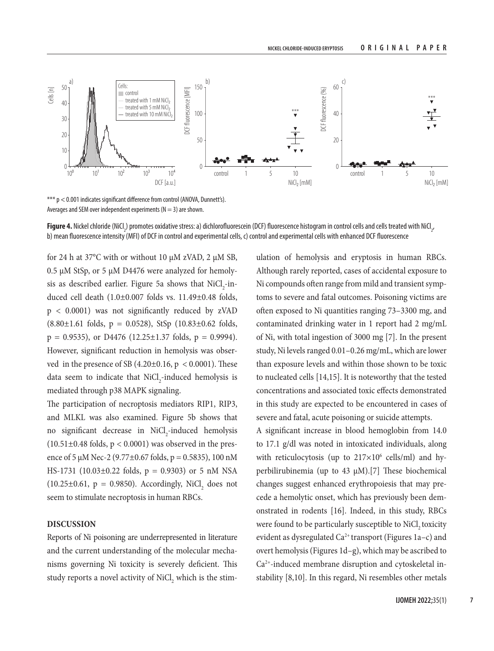

\*\*\* p < 0.001 indicates significant difference from control (ANOVA, Dunnett's). Averages and SEM over independent experiments ( $N = 3$ ) are shown.

**Figure 4.** Nickel chloride (NiCl<sub>.</sub>) promotes oxidative stress: a) dichlorofluorescein (DCF) fluorescence histogram in control cells and cells treated with NiCl<sub>.</sub>, b) mean fluorescence intensity (MFI) of DCF in control and experimental cells, c) control and experimental cells with enhanced DCF fluorescence

for 24 h at 37°C with or without 10 μM zVAD, 2 μM SB, 0.5 μM StSp, or 5 μM D4476 were analyzed for hemolysis as described earlier. Figure 5a shows that  $\rm Ni Cl_{2}$ -induced cell death (1.0±0.007 folds vs. 11.49±0.48 folds, p < 0.0001) was not significantly reduced by zVAD  $(8.80 \pm 1.61 \text{ folds}, p = 0.0528)$ , StSp  $(10.83 \pm 0.62 \text{ folds},$  $p = 0.9535$ , or D4476 (12.25 $\pm$ 1.37 folds,  $p = 0.9994$ ). However, significant reduction in hemolysis was observed in the presence of SB  $(4.20\pm0.16, p < 0.0001)$ . These data seem to indicate that  $\text{NiCl}_{2}$ -induced hemolysis is mediated through p38 MAPK signaling.

The participation of necroptosis mediators RIP1, RIP3, and MLKL was also examined. Figure 5b shows that no significant decrease in NiCl<sub>2</sub>-induced hemolysis  $(10.51\pm0.48 \text{ folds}, p < 0.0001)$  was observed in the presence of 5  $\mu$ M Nec-2 (9.77±0.67 folds, p = 0.5835), 100 nM HS-1731 (10.03 $\pm$ 0.22 folds, p = 0.9303) or 5 nM NSA  $(10.25 \pm 0.61, p = 0.9850)$ . Accordingly, NiCl<sub>2</sub> does not seem to stimulate necroptosis in human RBCs.

## **DISCUSSION**

Reports of Ni poisoning are underrepresented in literature and the current understanding of the molecular mechanisms governing Ni toxicity is severely deficient. This study reports a novel activity of  $\mathrm{NiCl}_{_2}$  which is the stimulation of hemolysis and eryptosis in human RBCs. Although rarely reported, cases of accidental exposure to Ni compounds often range from mild and transient symptoms to severe and fatal outcomes. Poisoning victims are often exposed to Ni quantities ranging 73–3300 mg, and contaminated drinking water in 1 report had 2 mg/mL of Ni, with total ingestion of 3000 mg [7]. In the present study, Ni levels ranged 0.01–0.26 mg/mL, which are lower than exposure levels and within those shown to be toxic to nucleated cells [14,15]. It is noteworthy that the tested concentrations and associated toxic effects demonstrated in this study are expected to be encountered in cases of severe and fatal, acute poisoning or suicide attempts.

A significant increase in blood hemoglobin from 14.0 to 17.1 g/dl was noted in intoxicated individuals, along with reticulocytosis (up to  $217\times10^6$  cells/ml) and hyperbilirubinemia (up to 43 μM).[7] These biochemical changes suggest enhanced erythropoiesis that may precede a hemolytic onset, which has previously been demonstrated in rodents [16]. Indeed, in this study, RBCs were found to be particularly susceptible to NiCl<sub>2</sub> toxicity evident as dysregulated  $Ca^{2+}$  transport (Figures 1a-c) and overt hemolysis (Figures 1d–g), which may be ascribed to Ca2+-induced membrane disruption and cytoskeletal instability [8,10]. In this regard, Ni resembles other metals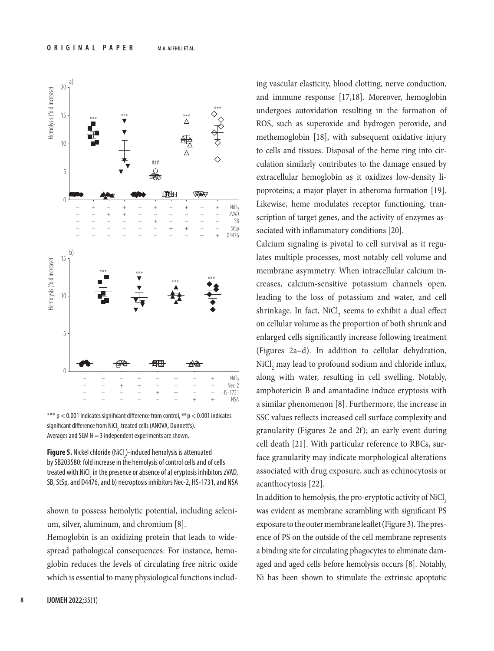

\*\*\*  $p < 0.001$  indicates significant difference from control,  $*** p < 0.001$  indicates significant difference from NiCl<sub>2</sub>-treated cells (ANOVA, Dunnett's). Averages and SEM  $N = 3$  independent experiments are shown.

**Figure 5.** Nickel chloride (NiCl<sub>2</sub>)-induced hemolysis is attenuated by SB203580: fold increase in the hemolysis of control cells and of cells treated with NiCl<sub>2</sub> in the presence or absence of a) eryptosis inhibitors zVAD, SB, StSp, and D4476, and b) necroptosis inhibitors Nec-2, HS-1731, and NSA

shown to possess hemolytic potential, including selenium, silver, aluminum, and chromium [8].

Hemoglobin is an oxidizing protein that leads to widespread pathological consequences. For instance, hemoglobin reduces the levels of circulating free nitric oxide which is essential to many physiological functions including vascular elasticity, blood clotting, nerve conduction, and immune response [17,18]. Moreover, hemoglobin undergoes autoxidation resulting in the formation of ROS, such as superoxide and hydrogen peroxide, and methemoglobin [18], with subsequent oxidative injury to cells and tissues. Disposal of the heme ring into circulation similarly contributes to the damage ensued by extracellular hemoglobin as it oxidizes low-density lipoproteins; a major player in atheroma formation [19]. Likewise, heme modulates receptor functioning, transcription of target genes, and the activity of enzymes associated with inflammatory conditions [20].

Calcium signaling is pivotal to cell survival as it regulates multiple processes, most notably cell volume and membrane asymmetry. When intracellular calcium increases, calcium-sensitive potassium channels open, leading to the loss of potassium and water, and cell shrinkage. In fact,  $\mathrm{NiCl}_{_2}$  seems to exhibit a dual effect on cellular volume as the proportion of both shrunk and enlarged cells significantly increase following treatment (Figures 2a–d). In addition to cellular dehydration,  $\mathrm{NiCl}_{_2}$  may lead to profound sodium and chloride influx, along with water, resulting in cell swelling. Notably, amphotericin B and amantadine induce eryptosis with a similar phenomenon [8]. Furthermore, the increase in SSC values reflects increased cell surface complexity and granularity (Figures 2e and 2f); an early event during cell death [21]. With particular reference to RBCs, surface granularity may indicate morphological alterations associated with drug exposure, such as echinocytosis or acanthocytosis [22].

In addition to hemolysis, the pro-eryptotic activity of NiCl<sub>2</sub> was evident as membrane scrambling with significant PS exposure to the outer membrane leaflet (Figure 3). The presence of PS on the outside of the cell membrane represents a binding site for circulating phagocytes to eliminate damaged and aged cells before hemolysis occurs [8]. Notably, Ni has been shown to stimulate the extrinsic apoptotic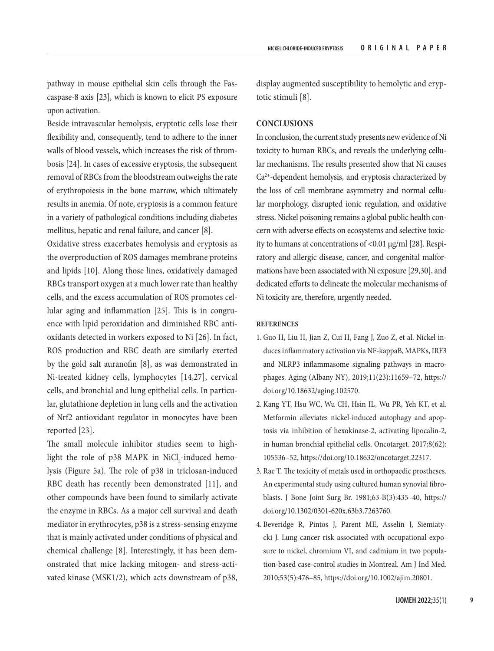pathway in mouse epithelial skin cells through the Fascaspase-8 axis [23], which is known to elicit PS exposure upon activation.

Beside intravascular hemolysis, eryptotic cells lose their flexibility and, consequently, tend to adhere to the inner walls of blood vessels, which increases the risk of thrombosis [24]. In cases of excessive eryptosis, the subsequent removal of RBCs from the bloodstream outweighs the rate of erythropoiesis in the bone marrow, which ultimately results in anemia. Of note, eryptosis is a common feature in a variety of pathological conditions including diabetes mellitus, hepatic and renal failure, and cancer [8].

Oxidative stress exacerbates hemolysis and eryptosis as the overproduction of ROS damages membrane proteins and lipids [10]. Along those lines, oxidatively damaged RBCs transport oxygen at a much lower rate than healthy cells, and the excess accumulation of ROS promotes cellular aging and inflammation [25]. This is in congruence with lipid peroxidation and diminished RBC antioxidants detected in workers exposed to Ni [26]. In fact, ROS production and RBC death are similarly exerted by the gold salt auranofin [8], as was demonstrated in Ni-treated kidney cells, lymphocytes [14,27], cervical cells, and bronchial and lung epithelial cells. In particular, glutathione depletion in lung cells and the activation of Nrf2 antioxidant regulator in monocytes have been reported [23].

The small molecule inhibitor studies seem to highlight the role of p38 MAPK in  $\mathrm{NiCl}_{2}$ -induced hemolysis (Figure 5a). The role of p38 in triclosan-induced RBC death has recently been demonstrated [11], and other compounds have been found to similarly activate the enzyme in RBCs. As a major cell survival and death mediator in erythrocytes, p38 is a stress-sensing enzyme that is mainly activated under conditions of physical and chemical challenge [8]. Interestingly, it has been demonstrated that mice lacking mitogen- and stress-activated kinase (MSK1/2), which acts downstream of p38, display augmented susceptibility to hemolytic and eryptotic stimuli [8].

## **CONCLUSIONS**

In conclusion, the current study presents new evidence of Ni toxicity to human RBCs, and reveals the underlying cellular mechanisms. The results presented show that Ni causes Ca2+-dependent hemolysis, and eryptosis characterized by the loss of cell membrane asymmetry and normal cellular morphology, disrupted ionic regulation, and oxidative stress. Nickel poisoning remains a global public health concern with adverse effects on ecosystems and selective toxicity to humans at concentrations of <0.01 μg/ml [28]. Respiratory and allergic disease, cancer, and congenital malformations have been associated with Ni exposure [29,30], and dedicated efforts to delineate the molecular mechanisms of Ni toxicity are, therefore, urgently needed.

## **REFERENCES**

- 1. Guo H, Liu H, Jian Z, Cui H, Fang J, Zuo Z, et al. Nickel induces inflammatory activation via NF-kappaB, MAPKs, IRF3 and NLRP3 inflammasome signaling pathways in macrophages. Aging (Albany NY), 2019;11(23):11659–72, [https://](https://doi.org/10.18632/aging.102570) [doi.org/10.18632/aging.102570.](https://doi.org/10.18632/aging.102570)
- 2. Kang YT, Hsu WC, Wu CH, Hsin IL, Wu PR, Yeh KT, et al. Metformin alleviates nickel-induced autophagy and apoptosis via inhibition of hexokinase-2, activating lipocalin-2, in human bronchial epithelial cells. Oncotarget. 2017;8(62): 105536–52, [https://doi.org/10.18632/oncotarget.22317.](https://doi.org/10.18632/oncotarget.22317)
- 3. Rae T. The toxicity of metals used in orthopaedic prostheses. An experimental study using cultured human synovial fibroblasts. J Bone Joint Surg Br. 1981;63-B(3):435–40, [https://](https://doi.org/10.1302/0301-620x.63b3.7263760) [doi.org/10.1302/0301-620x.63b3.7263760](https://doi.org/10.1302/0301-620x.63b3.7263760).
- 4. Beveridge R, Pintos J, Parent ME, Asselin J, Siemiatycki J. Lung cancer risk associated with occupational exposure to nickel, chromium VI, and cadmium in two population-based case-control studies in Montreal. Am J Ind Med. 2010;53(5):476–85, <https://doi.org/10.1002/ajim.20801>.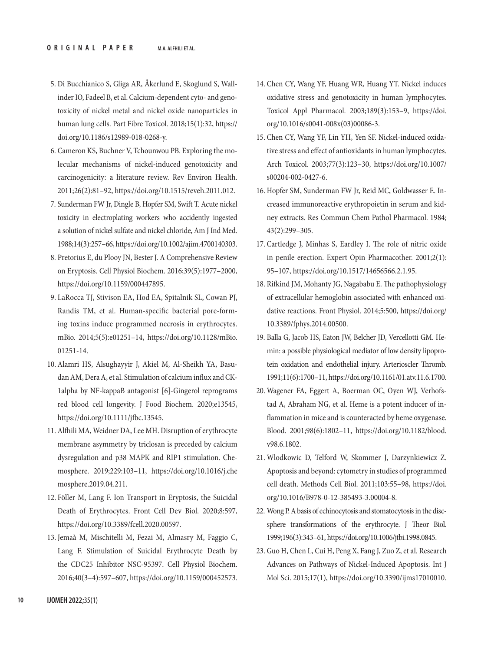- 5. Di Bucchianico S, Gliga AR, Åkerlund E, Skoglund S, Wallinder IO, Fadeel B, et al. Calcium-dependent cyto- and genotoxicity of nickel metal and nickel oxide nanoparticles in human lung cells. Part Fibre Toxicol. 2018;15(1):32, [https://](https://doi.org/10.1186/s12989-018-0268-y) [doi.org/10.1186/s12989-018-0268-y](https://doi.org/10.1186/s12989-018-0268-y).
- 6. Cameron KS, Buchner V, Tchounwou PB. Exploring the molecular mechanisms of nickel-induced genotoxicity and carcinogenicity: a literature review. Rev Environ Health. 2011;26(2):81–92, [https://doi.org/10.1515/reveh.2011.012.](https://doi.org/10.1515/reveh.2011.012)
- 7. Sunderman FW Jr, Dingle B, Hopfer SM, Swift T. Acute nickel toxicity in electroplating workers who accidently ingested a solution of nickel sulfate and nickel chloride, Am J Ind Med. 1988;14(3):257–66,<https://doi.org/10.1002/ajim.4700140303>.
- 8. Pretorius E, du Plooy JN, Bester J. A Comprehensive Review on Eryptosis. Cell Physiol Biochem. 2016;39(5):1977–2000, [https://doi.org/10.1159/000447895.](https://doi.org/10.1159/000447895)
- 9. LaRocca TJ, Stivison EA, Hod EA, Spitalnik SL, Cowan PJ, Randis TM, et al. Human-specific bacterial pore-forming toxins induce programmed necrosis in erythrocytes. mBio. 2014;5(5):e01251–14, [https://doi.org/10.1128/mBio.](https://doi.org/10.1128/mBio.01251-14) [01251-14](https://doi.org/10.1128/mBio.01251-14).
- 10. Alamri HS, Alsughayyir J, Akiel M, Al-Sheikh YA, Basudan AM, Dera A, et al. Stimulation of calcium influx and CK-1alpha by NF-kappaB antagonist [6]-Gingerol reprograms red blood cell longevity. J Food Biochem. 2020;e13545, <https://doi.org/10.1111/jfbc.13545>.
- 11. Alfhili MA, Weidner DA, Lee MH. Disruption of erythrocyte membrane asymmetry by triclosan is preceded by calcium dysregulation and p38 MAPK and RIP1 stimulation. Chemosphere. 2019;229:103–11, [https://doi.org/10.1016/j.che](https://doi.org/10.1016/j.chemosphere.2019.04.211) [mosphere.2019.04.211.](https://doi.org/10.1016/j.chemosphere.2019.04.211)
- 12. Föller M, Lang F. Ion Transport in Eryptosis, the Suicidal Death of Erythrocytes. Front Cell Dev Biol. 2020;8:597, <https://doi.org/10.3389/fcell.2020.00597>.
- 13. Jemaà M, Mischitelli M, Fezai M, Almasry M, Faggio C, Lang F. Stimulation of Suicidal Erythrocyte Death by the CDC25 Inhibitor NSC-95397. Cell Physiol Biochem. 2016;40(3–4):597–607, <https://doi.org/10.1159/000452573>.
- 14. Chen CY, Wang YF, Huang WR, Huang YT. Nickel induces oxidative stress and genotoxicity in human lymphocytes. Toxicol Appl Pharmacol. 2003;189(3):153–9, [https://doi.](https://doi.org/10.1016/s0041-008x(03)00086-3) [org/10.1016/s0041-008x\(03\)00086-3.](https://doi.org/10.1016/s0041-008x(03)00086-3)
- 15. Chen CY, Wang YF, Lin YH, Yen SF. Nickel-induced oxidative stress and effect of antioxidants in human lymphocytes. Arch Toxicol. 2003;77(3):123–30, [https://doi.org/10.1007/](https://doi.org/10.1007/s00204-002-0427-6) [s00204-002-0427-6.](https://doi.org/10.1007/s00204-002-0427-6)
- 16. Hopfer SM, Sunderman FW Jr, Reid MC, Goldwasser E. Increased immunoreactive erythropoietin in serum and kidney extracts. Res Commun Chem Pathol Pharmacol. 1984; 43(2):299–305.
- 17. Cartledge J, Minhas S, Eardley I. The role of nitric oxide in penile erection. Expert Opin Pharmacother. 2001;2(1): 95–107, [https://doi.org/10.1517/14656566.2.1.95.](https://doi.org/10.1517/14656566.2.1.95)
- 18. Rifkind JM, Mohanty JG, Nagababu E. The pathophysiology of extracellular hemoglobin associated with enhanced oxidative reactions. Front Physiol. 2014;5:500, [https://doi.org/](https://doi.org/10.3389/fphys.2014.00500) [10.3389/fphys.2014.00500.](https://doi.org/10.3389/fphys.2014.00500)
- 19. Balla G, Jacob HS, Eaton JW, Belcher JD, Vercellotti GM. Hemin: a possible physiological mediator of low density lipoprotein oxidation and endothelial injury. Arterioscler Thromb. 1991;11(6):1700–11,<https://doi.org/10.1161/01.atv.11.6.1700>.
- 20. Wagener FA, Eggert A, Boerman OC, Oyen WJ, Verhofstad A, Abraham NG, et al. Heme is a potent inducer of inflammation in mice and is counteracted by heme oxygenase. Blood. 2001;98(6):1802–11, [https://doi.org/10.1182/blood.](https://doi.org/10.1182/blood.v98.6.1802) [v98.6.1802](https://doi.org/10.1182/blood.v98.6.1802).
- 21. Wlodkowic D, Telford W, Skommer J, Darzynkiewicz Z. Apoptosis and beyond: cytometry in studies of programmed cell death. Methods Cell Biol. 2011;103:55–98, [https://doi.](https://doi.org/10.1016/B978-0-12-385493-3.00004-8) [org/10.1016/B978-0-12-385493-3.00004-8](https://doi.org/10.1016/B978-0-12-385493-3.00004-8).
- 22. Wong P. A basis of echinocytosis and stomatocytosis in the discsphere transformations of the erythrocyte. J Theor Biol. 1999;196(3):343–61, [https://doi.org/10.1006/jtbi.1998.0845.](https://doi.org/10.1006/jtbi.1998.0845)
- 23. Guo H, Chen L, Cui H, Peng X, Fang J, Zuo Z, et al. Research Advances on Pathways of Nickel-Induced Apoptosis. Int J Mol Sci. 2015;17(1),<https://doi.org/10.3390/ijms17010010>.